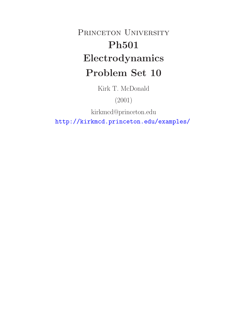# PRINCETON UNIVERSITY **Ph501 Electrodynamics Problem Set 10**

Kirk T. McDonald

(2001)

kirkmcd@princeton.edu

http://kirkmcd.princeton.edu/examples/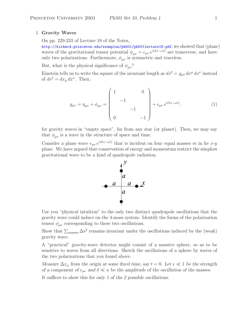## 1. **Gravity Waves**

On pp. 229-233 of Lecture 19 of the Notes,

http://kirkmcd.princeton.edu/examples/ph501/ph501lecture19.pdf, we showed that (plane) waves of the gravitational tensor potential  $\phi_{\mu\nu} = \epsilon_{\mu\nu} e^{i(kz-\omega t)}$  are transverse, and have only two polarizations. Furthermore,  $\phi_{\mu\nu}$  is symmetric and traceless.

But, what is the physical significance of  $\phi_{\mu\nu}$ ?

Einstein tells us to write the square of the invariant length as  $ds^2 = g_{\mu\nu} dx^{\mu} dx^{\nu}$  instead of  $ds^2 = dx_\mu dx^\nu$ . Then,

$$
g_{\mu\nu} = \eta_{\mu\nu} + \phi_{\mu\nu} = \begin{pmatrix} 1 & 0 \\ -1 & 0 \\ -1 & 0 \\ 0 & -1 \end{pmatrix} + \epsilon_{\mu\nu} e^{i(kz - \omega t)}, \qquad (1)
$$

for gravity waves in "empty space", far from any star (or planet). Then, we may say that  $\phi_{\mu\nu}$  is a wave in the structure of space and time.

Consider a plane wave  $\epsilon_{\mu\nu} e^{i(kz-\omega t)}$  that is incident on four equal masses m in he x-y plane. We have argued that conservation of energy and momentum restrict the simplest gravitational wave to be a kind of quadrupole radiation.



Use you "physical intuition" to the only two distinct quadrupole oscillations that the gravity wave could induce on the 4-mass system. Identify the forms of the polarization tensor  $\phi_{\mu\nu}$  corresponding to these two oscillations.

Show that  $\sum_{\text{masses}} \Delta s^2$  remains invariant under the oscillations induced by the (weak) gravity wave.

A "practical" gravity-wave detector might consist of a massive sphere, so as to be sensitive to waves from all directions. Sketch the oscillations of a sphere by waves of the two polarizations that you found above.

*Measure*  $\Delta x_{\mu}$  *from the origin at some fixed time, say*  $t = 0$ *. Let*  $\epsilon \ll 1$  *be the strength of a component of*  $\epsilon_{\mu\nu}$  *and*  $\delta \ll a$  *be the amplitude of the oscillation of the masses.* 

*It suffices to show this for only 1 of the 2 possible oscillations.*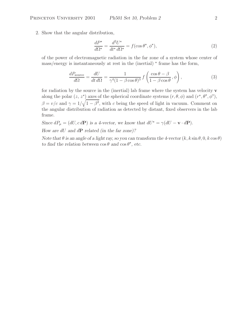2. Show that the angular distribution,

$$
\frac{dP^{\star}}{d\Omega^{\star}} = \frac{d^2U^{\star}}{dt^{\star} d\Omega^{\star}} = f(\cos \theta^{\star}, \phi^{\star}),\tag{2}
$$

of the power of electromagnetic radiation in the far zone of a system whose center of mass/energy is instantaneously at rest in the (inertial)  $*$  frame has the form,

$$
\frac{dP_{\text{source}}}{d\Omega} = \frac{dU}{dt \, d\Omega} = \frac{1}{\gamma^4 (1 - \beta \cos \theta)^3} f\left(\frac{\cos \theta - \beta}{1 - \beta \cos \theta}, \phi\right),\tag{3}
$$

for radiation by the source in the (inertial) lab frame where the system has velocity **v** along the polar  $(z, z^*)$  axes of the spherical coordinate systems  $(r, \theta, \phi)$  and  $(r^*, \theta^*, \phi^*)$ ,  $\beta = v/c$  and  $\gamma = 1/\sqrt{1-\beta^2}$ , with c being the speed of light in vacuum. Comment on the angular distribution of radiation as detected by distant, fixed observers in the lab frame.

*Since*  $dP_{\mu} = (dU, c \, d\mathbf{P})$  *is a 4-vector, we know that*  $dU^* = \gamma (dU - \mathbf{v} \cdot d\mathbf{P})$ *.* 

*How are* dU *and* d**P** *related (in the far zone)?*

*Note that*  $\theta$  *is an angle of a light ray, so you can transform the 4-vector*  $(k, k \sin \theta, 0, k \cos \theta)$ *to find the relation between*  $\cos \theta$  *and*  $\cos \theta^*$ *, etc.*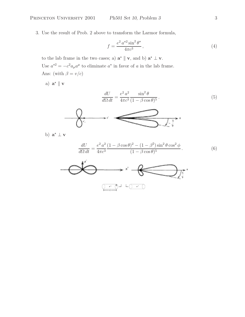3. Use the result of Prob. 2 above to transform the Larmor formula,

$$
f = \frac{e^2 a^{\star 2} \sin^2 \theta^{\star}}{4\pi c^3},
$$
\n(4)

to the lab frame in the two cases; a)  $\mathbf{a}^* \parallel \mathbf{v}$ , and b)  $\mathbf{a}^* \perp \mathbf{v}$ . Use  $a^{\star 2} = -c^2 a_\mu a^\mu$  to eliminate  $a^\star$  in favor of  $a$  in the lab frame. Ans: (with  $\beta=v/c)$ 

a)  $\mathbf{a}^* \parallel \mathbf{v}$ 

$$
\frac{dU}{d\Omega dt} = \frac{e^2 a^2}{4\pi c^3} \frac{\sin^2 \theta}{(1 - \beta \cos \theta)^5}.
$$
\n(5)



b)  $\mathbf{a}^* \perp \mathbf{v}$ 

$$
\frac{dU}{d\Omega dt} = \frac{e^2 a^2 (1 - \beta \cos \theta)^2 - (1 - \beta^2) \sin^2 \theta \cos^2 \phi}{(1 - \beta \cos \theta)^5}.
$$
(6)

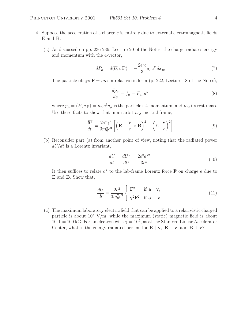- 4. Suppose the acceleration of a charge e is entirely due to external electromagnetic fields **E** and **B**.
	- (a) As discussed on pp. 236-236, Lecture 20 of the Notes, the charge radiates energy and momentum with the 4-vector,

$$
dP_{\mu} = d(U, c \mathbf{P}) = -\frac{2e^2 c}{3} a_{\nu} a^{\nu} dx_{\mu}, \tag{7}
$$

The particle obeys  $\mathbf{F} = m\mathbf{a}$  in relativistic form (p. 222, Lecture 18 of the Notes),

$$
\frac{dp_{\mu}}{ds} = f_{\mu} = F_{\mu\nu}u^{\nu},\tag{8}
$$

where  $p_{\mu} = (E, c \mathbf{p}) = m_0 c^2 u_{\mu}$  is the particle's 4-momentum, and  $m_0$  its rest mass. Use these facts to show that in an arbitrary inertial frame,

$$
\frac{dU}{dt} = \frac{2e^4\gamma^2}{3m_0^2c^3} \left[ \left( \mathbf{E} + \frac{\mathbf{v}}{c} \times \mathbf{B} \right)^2 - \left( \mathbf{E} \cdot \frac{\mathbf{v}}{c} \right)^2 \right].
$$
\n(9)

(b) Reconsider part (a) from another point of view, noting that the radiated power  $dU/dt$  is a Lorentz invariant,

$$
\frac{dU}{dt} = \frac{dU^*}{dt^*} = \frac{2e^2a^{*2}}{3c^3}.
$$
\n(10)

It then suffices to relate  $a^*$  to the lab-frame Lorentz force **F** on charge e due to **E** and **B**. Show that,

$$
\frac{dU}{dt} = \frac{2e^2}{3m_0^2 c^3} \begin{cases} \mathbf{F}^2 & \text{if } \mathbf{a} \parallel \mathbf{v}, \\ \gamma^2 \mathbf{F}^2 & \text{if } \mathbf{a} \perp \mathbf{v}. \end{cases}
$$
(11)

(c) The maximum laboratory electric field that can be applied to a relativistic charged particle is about  $10^8$  V/m, while the maximum (static) magnetic field is about  $10$  T = 100 kG. For an electron with  $\gamma = 10^5$ , as at the Stanford Linear Accelerator Center, what is the energy radiated per cm for  $\mathbf{E} \parallel \mathbf{v}$ ,  $\mathbf{E} \perp \mathbf{v}$ , and  $\mathbf{B} \perp \mathbf{v}$ ?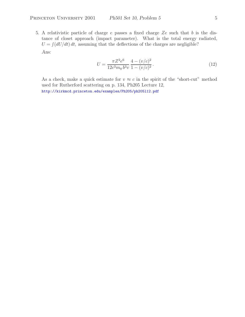5. A relativistic particle of charge  $e$  passes a fixed charge  $Ze$  such that  $b$  is the distance of closet approach (impact parameter). What is the total energy radiated,  $U = \int (dU/dt) dt$ , assuming that the deflections of the charges are negligible? *Ans:*

$$
U = \frac{\pi Z^2 e^6}{12c^3 m_0 b^3 v} \frac{4 - (v/c)^2}{1 - (v/c)^2}.
$$
 (12)

As a check, make a quick estimate for  $v \approx c$  in the spirit of the "short-cut" method used for Rutherford scattering on p. 134, Ph205 Lecture 12, http://kirkmcd.princeton.edu/examples/Ph205/ph205l12.pdf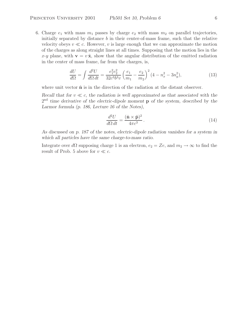6. Charge  $e_1$  with mass  $m_1$  passes by charge  $e_2$  with mass  $m_2$  on parallel trajectories, initially separated by distance  $b$  in their center-of-mass frame, such that the relative velocity obeys  $v \ll c$ . However, v is large enough that we can approximate the motion of the charges as along straight lines at all times. Supposing that the motion lies in the x-y plane, with  $\mathbf{v} = v \hat{\mathbf{x}}$ , show that the angular distribution of the emitted radiation in the center of mass frame, far from the charges, is,

$$
\frac{dU}{d\Omega} = \int \frac{d^2U}{d\Omega \, dt} = \frac{e_1^2 e_2^2}{32c^3 b^3 v} \left(\frac{e_1}{m_1} - \frac{e_2}{m_2}\right)^2 (4 - n_x^2 - 3n_y^2),\tag{13}
$$

where unit vector  $\hat{\mathbf{n}}$  is in the direction of the radiation at the distant observer.

*Recall that for*  $v \ll c$ , the radiation is well approximated as that associated with the 2nd *time derivative of the electric-dipole moment* **p** *of the system, described by the Larmor formula (p. 186, Lecture 16 of the Notes),*

$$
\frac{d^2U}{d\Omega dt} = \frac{(\hat{\mathbf{n}} \times \ddot{\mathbf{p}})^2}{4\pi c^3}.
$$
\n(14)

*As discussed on p. 187 of the notes, electric-dipole radiation vanishes for a system in which all particles have the same charge-to-mass ratio.*

Integrate over dΩ supposing charge 1 is an electron,  $e_2 = Ze$ , and  $m_2 \to \infty$  to find the result of Prob. 5 above for  $v \ll c$ .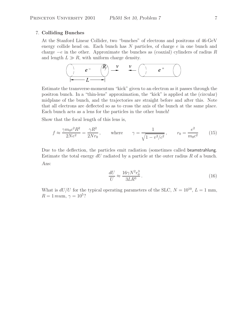#### 7. **Colliding Bunches**

At the Stanford Linear Collider, two "bunches" of electrons and positrons of 46-GeV energy collide head on. Each bunch has  $N$  particles, of charge  $e$  in one bunch and charge  $-e$  in the other. Approximate the bunches as (coaxial) cylinders of radius R and length  $L \gg R$ , with uniform charge density.



Estimate the transverse-momentum "kick" given to an electron as it passes through the positron bunch. In a "thin-lens" approximation, the "kick" is applied at the (circular) midplane of the bunch, and the trajectories are straight before and after this. Note that all electrons are deflected so as to cross the axis of the bunch at the same place. Each bunch acts as a lens for the particles in the other bunch!

Show that the focal length of this lens is,

$$
f \approx \frac{\gamma m_0 c^2 R^2}{2Ne^2} = \frac{\gamma R^2}{2Nr_0}, \quad \text{where} \quad \gamma = \frac{1}{\sqrt{1 - v^2/c^2}}, \quad r_0 = \frac{e^2}{m_0 c^2}
$$
 (15)

Due to the deflection, the particles emit radiation (sometimes called beamstrahlung. Estimate the total energy  $dU$  radiated by a particle at the outer radius R of a bunch. *Ans:*

$$
\frac{dU}{U} \approx \frac{16\gamma N^2 r_0^3}{3LR^3} \,. \tag{16}
$$

What is  $dU/U$  for the typical operating parameters of the SLC,  $N = 10^{10}$ ,  $L = 1$  mm,  $R = 1 \, m \, \text{um}, \, \gamma = 10^5?$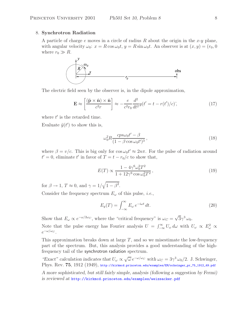#### 8. **Synchrotron Radiation**

A particle of charge  $e$  moves in a circle of radius  $R$  about the origin in the  $x-y$  plane, with angular velocity  $\omega_0$ :  $x = R \cos \omega_0 t$ ,  $y = R \sin \omega_0 t$ . An observer is at  $(x, y) = (r_0, 0)$ where  $r_0 \gg R$ .



The electric field seen by the observer is, in the dipole approximation,

$$
\mathbf{E} \approx \left[ \frac{(\ddot{\mathbf{p}} \times \hat{\mathbf{n}}) \times \hat{\mathbf{n}}}{c^2 r} \right] \approx -\frac{e}{c^2 r_0} \frac{d^2}{dt^2} y(t' = t - r(t')/c) \hat{\,},\tag{17}
$$

where  $t'$  is the retarded time.

Evaluate  $\ddot{y}(t')$  to show this is,

$$
\omega_0^2 R \frac{c p s \omega_0 t' - \beta}{(1 - \beta \cos \omega_0 t')^3},\tag{18}
$$

where  $\beta = v/c$ . This is big only for  $\cos \omega_0 t' \approx 2n\pi$ . For the pulse of radiation around  $t' = 0$ , eliminate  $t'$  in favor of  $T = t - r_0/c$  to show that,

$$
E(T) \propto \frac{1 - 4\gamma^6 \omega_0^2 T^2}{1 + 12\gamma^6 \cos \omega_0^2 T^2},
$$
\n(19)

for  $\beta \to 1$ ,  $T \approx 0$ , and  $\gamma = 1/\sqrt{1 - \beta^2}$ .

Consider the frequency spectrum  $E_{\omega}$  of this pulse, *i.e.*,

$$
E_y(T) = \int_{-\infty}^{\infty} E_{\omega} e^{-i\omega t} dt.
$$
\n(20)

Show that  $E_{\omega} \propto e^{-\omega/2\omega_C}$ , where the "critical frequency" is  $\omega_C = \sqrt{3}\gamma^3 \omega_0$ .

Note that the pulse energy has Fourier analysis  $U = \int_{-\infty}^{\infty} U_{\omega} d\omega$  with  $U_{\omega} \propto E_{\omega}^2 \propto$  $e^{-\omega/\omega_C}$ .

This approximation breaks down at large  $T$ , and so we misestimate the low-frequency part of the spectrum. But, this analysis provides a good understanding of the highfrequency tail of the synchrotron radiation spectrum.

*"Exact"* calculation indicates that  $U_{\omega} \propto \sqrt{\omega} e^{-\omega/\omega_C}$  with  $\omega_C = 3\gamma^3 \omega_0/2$ . J. Schwinger, Phys. Rev. **75**, 1912 (1949), http://kirkmcd.princeton.edu/examples/EM/schwinger\_pr\_75\_1912\_49.pdf

*A more sophisticated, but still fairly simple, analysis (following a suggestion by Fermi) is reviewed at* http://kirkmcd.princeton.edu/examples/weizsacker.pdf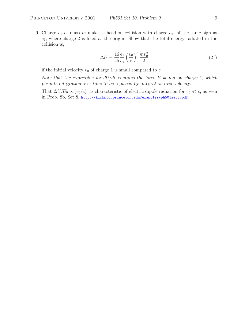9. Charge  $e_1$  of mass m makes a head-on collision with charge  $e_2$ , of the same sign as  $e_1$ , where charge 2 is fixed at the origin. Show that the total energy radiated in the collision is,

$$
\Delta U = \frac{16}{45} \frac{e_1}{e_2} \left(\frac{v_0}{c}\right)^3 \frac{mv_0^2}{2},\tag{21}
$$

if the initial velocity  $v_0$  of charge 1 is small compared to c.

*Note that the expression for*  $dU/dt$  *contains the force*  $F = ma$  *on charge 1, which permits integration over time to be replaced by integration over velocity.*

That  $\Delta U/U_0 \propto (v_0/c)^3$  is characteristic of electric dipole radiation for  $v_0 \ll c$ , as seen in Prob. 8b, Set 8, http://kirkmcd.princeton.edu/examples/ph501set8.pdf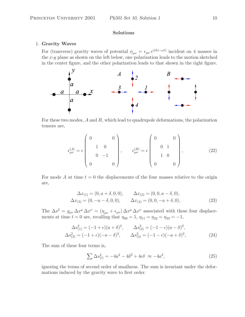## **Solutions**

#### 1. **Gravity Waves**

For (tranverse) gravity waves of potential  $\phi_{\mu\nu} = \epsilon_{\mu\nu} e^{i(kz-\omega t)}$  incident on 4 masses in the  $x-y$  plane as shown on the left below, one polarization leads to the motion sketched in the center figure, and the other polarization leads to that shown in the right figure.



For these two modes,  $A$  and  $B$ , which lead to quadrupole deformations, the polarization tensors are,

$$
\epsilon_{\mu\nu}^{(A)} = \epsilon \begin{pmatrix} 0 & 0 \\ 1 & 0 \\ 0 & -1 \\ 0 & 0 \end{pmatrix}, \qquad \epsilon_{\mu\nu}^{(B)} = \epsilon \begin{pmatrix} 0 & 0 \\ 0 & 1 \\ 1 & 0 \\ 0 & 0 \end{pmatrix}, \tag{22}
$$

For mode A at time  $t = 0$  the displacements of the four masses relative to the origin are,

$$
\Delta x_{(1)} = (0, a + \delta, 0, 0), \qquad \Delta x_{(2)} = (0, 0, a - \delta, 0),
$$
  

$$
\Delta x_{(3)} = (0, -a - \delta, 0, 0), \qquad \Delta x_{(4)} = (0, 0, -a + \delta, 0),
$$
 (23)

The  $\Delta s^2 = g_{\mu\nu} \Delta x^{\mu} \Delta x^{\nu} = (\eta_{\mu\nu} + \epsilon_{\mu\nu}) \Delta x^{\mu} \Delta x^{\nu}$  associated with these four displacements at time  $t = 0$  are, recalling that  $\eta_{00} = 1$ ,  $\eta_{11} = \eta_{22} = \eta_{33} = -1$ ,

$$
\Delta s_{(1)}^2 = (-1 + \epsilon)(a + \delta)^2, \qquad \Delta s_{(2)}^2 = (-1 - \epsilon)(a - \delta)^2, \n\Delta s_{(3)}^2 = (-1 + \epsilon)(-a - \delta)^2, \qquad \Delta s_{(4)}^2 = (-1 - \epsilon)(-a + \delta)^2,
$$
\n(24)

The sum of these four terms is,

$$
\sum \Delta s_{(i)}^2 = -4a^2 - 4\delta^2 + 4\epsilon\delta \approx -4a^2,\tag{25}
$$

ignoring the terms of second order of smallness. The sum is invariant under the deformations induced by the gravity wave to first order.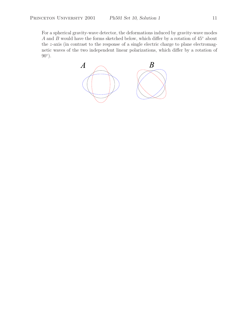For a spherical gravity-wave detector, the deformations induced by gravity-wave modes A and B would have the forms sketched below, which differ by a rotation of  $45°$  about the z-axis (in contrast to the response of a single electric charge to plane electromagnetic waves of the two independent linear polarizations, which differ by a rotation of  $90^\circ$ ).

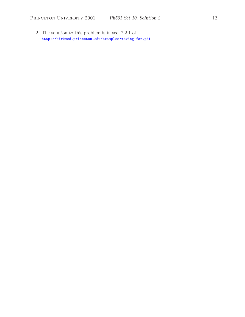2. The solution to this problem is in sec. 2.2.1 of http://kirkmcd.princeton.edu/examples/moving\_far.pdf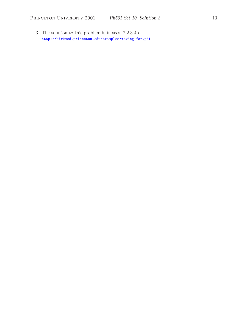3. The solution to this problem is in secs. 2.2.3-4 of http://kirkmcd.princeton.edu/examples/moving\_far.pdf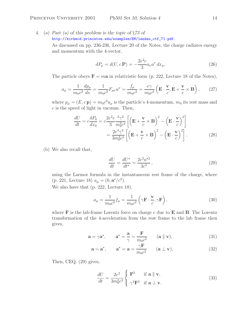4. (a) *Part (a) of this problem is the topic of* §*73 of*

http://kirkmcd.princeton.edu/examples/EM/landau\_ctf\_71.pdf.

As discussed on pp. 236-236, Lecture 20 of the Notes, the charge radiates energy and momentum with the 4-vector,

$$
dP_{\mu} = d(U, c\mathbf{P}) = -\frac{2e^2c}{3}a_{\nu}a^{\nu} dx_{\mu},
$$
\n(26)

The particle obeys  $\mathbf{F} = m\mathbf{a}$  in relativistic form (p. 222, Lecture 18 of the Notes),

$$
a_{\mu} = \frac{1}{m_0 c^2} \frac{dp_{\mu}}{ds} = \frac{1}{m_0 c^2} F_{\mu\nu} u^{\nu} = \frac{f_{\mu}}{m_0 c^2} = \frac{e\gamma}{m_0 c^2} \left( \mathbf{E} \cdot \frac{\mathbf{v}}{c}, \mathbf{E} + \frac{\mathbf{v}}{c} \times \mathbf{B} \right), \qquad (27)
$$

where  $p_{\mu} = (E, c \mathbf{p}) = m_0 c^2 u_{\mu}$  is the particle's 4-momentum,  $m_0$  its rest mass and  $c$  is the speed of light in vacuum. Then,

$$
\frac{dU}{dt} = c \frac{dP_0}{dx_0} = c \frac{2e^2c}{3} \frac{{}^2\gamma^2}{m_0^2c^4} \left[ \left( \mathbf{E} + \frac{\mathbf{v}}{c} \times \mathbf{B} \right)^2 - \left( \mathbf{E} \cdot \frac{\mathbf{v}}{c} \right)^2 \right]
$$

$$
= \frac{2e^4\gamma^2}{3m_0^2c^3} \left[ \left( \mathbf{E} + \frac{\mathbf{v}}{c} \times \mathbf{B} \right)^2 - \left( \mathbf{E} \cdot \frac{\mathbf{v}}{c} \right)^2 \right].
$$
(28)

(b) We also recall that,

$$
\frac{dU}{dt} = \frac{dU^*}{dt^*} = \frac{2e^2a^{*2}}{3c^3},
$$
\n(29)

using the Larmor formula in the instantaneous rest frame of the charge, where (p. 221, Lecture 18)  $a_{\mu} = (0, \mathbf{a}^{\star}/c^2)$ .

We also have that (p. 222, Lecture 18),

$$
a_{\mu} = \frac{1}{m_0 c^2} f_{\mu} = \frac{1}{m_0 c^2} \left( \gamma \mathbf{F} \cdot \frac{\mathbf{v}}{c}, \gamma \mathbf{F} \right),
$$
 (30)

where **F** is the lab-frame Lorentz force on charge e due to **E** and **B**. The Lorentz transformation of the 4-acceleration from the rest frame to the lab frame then gives,

$$
\mathbf{a} = \gamma \mathbf{a}^*, \qquad \mathbf{a}^* = \frac{\mathbf{a}}{\gamma} = \frac{\mathbf{F}}{m_0 c^2} \qquad (\mathbf{a} \parallel \mathbf{v}), \tag{31}
$$

$$
\mathbf{a} = \mathbf{a}^*, \qquad \mathbf{a}^* = \mathbf{a} = \frac{\gamma \mathbf{F}}{m_0 c^2} \qquad (\mathbf{a} \perp \mathbf{v}), \tag{32}
$$

Then, CEQ. (29) gives,

$$
\frac{dU}{dt} = \frac{2e^2}{3m_0^2 c^3} \begin{cases} \mathbf{F}^2 & \text{if } \mathbf{a} \parallel \mathbf{v}, \\ \gamma^2 \mathbf{F}^2 & \text{if } \mathbf{a} \perp \mathbf{v}. \end{cases}
$$
(33)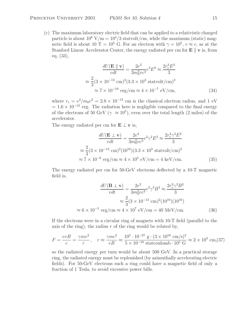(c) The maximum laboratory electric field that can be applied to a relativistic charged particle is about  $10^8$  V/m =  $10^4/3$  statvolt/cm, while the maximum (static) magnetic field is about 10 T =  $10^5$  G. For an electron with  $\gamma = 10^5$ ,  $v \approx c$ , as at the Stanford Linear Accelerator Center, the energy radiated per cm for  $\mathbf{E} \parallel \mathbf{v}$  is, from eq. (33),

$$
\frac{dU(\mathbf{E} \parallel \mathbf{v})}{vdt} = \frac{2e^2}{3m_0^2vc^3}e^2E^2 \approx \frac{2r_e^2E^2}{3}
$$

$$
\approx \frac{2}{3}(3 \times 10^{-13} \text{ cm})^2(3.3 \times 10^3 \text{ statvolt/cm})^2
$$

$$
\approx 7 \times 10^{-19} \text{ erg/cm} \approx 4 \times 10^{-7} \text{ eV/cm}, \tag{34}
$$

where  $r_e = e^2/m_0c^2 = 2.8 \times 10^{-13}$  cm is the classical electron radius, and 1 eV  $= 1.6 \times 10^{-12}$  erg. The radiation here is negligible compared to the final energy of the electrons of 50 GeV ( $\gamma \approx 10^5$ ), even over the total length (2 miles) of the accelerator.

The energy radiated per cm for  $\mathbf{E} \perp \mathbf{v}$  is,

$$
\frac{dU(\mathbf{E} \perp \mathbf{v})}{vdt} = \frac{2e^2}{3m_0^2vc^3}e^2\gamma^2E^2 \approx \frac{2r_e^2\gamma^2E^2}{3}
$$

$$
\approx \frac{2}{3}(3 \times 10^{-13} \text{ cm})^2(10^{10})(3.3 \times 10^3 \text{ statvolt/cm})^2
$$

$$
\approx 7 \times 10^{-9} \text{ erg/cm} \approx 4 \times 10^3 \text{ eV/cm} = 4 \text{ keV/cm.}
$$
(35)

The energy radiated per cm for 50-GeV electrons deflected by a 10-T magnetic field is,

$$
\frac{dU(\mathbf{B} \perp \mathbf{v})}{vdt} = \frac{2e^2}{3m_0^2vc^3}e^2\gamma^2B^2 \approx \frac{2r_e^2\gamma^2B^2}{3}
$$

$$
\approx \frac{2}{3}(3 \times 10^{-13} \text{ cm})^2(10^{10})(10^{10})
$$

$$
\approx 6 \times 10^{-5} \text{ erg/cm} \approx 4 \times 10^7 \text{ eV/cm} = 40 \text{ MeV/cm.}
$$
(36)

If the electrons were in a circular ring of magnets with 10-T field (parallel to the axis of the ring), the radius  $r$  of the ring would be related by,

$$
F = \frac{evB}{c} = \frac{\gamma mv^2}{r}, \quad r \approx \frac{\gamma mc^2}{eB} \approx \frac{10^5 \cdot 10^{-27} \text{ g} \cdot (3 \times 10^{10} \text{ cm/s})^2}{5 \times 10^{-10} \text{ statcoulomb} \cdot 10^5 \text{ G}} \approx 2 \times 10^3 \text{ cm}, (37)
$$

so the radiated energy per turn would be about 500 GeV. In a practical storage ring, the radiated energy must be replenished (by azimuthally accelerating electric fields). For 50-GeV electrons such a ring could have a magnetic field of only a fraction of 1 Tesla, to avoid excessive power bills.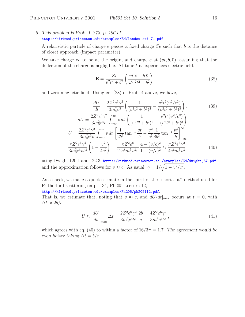# 5. *This problem is Prob. 1,* §*73, p. 196 of* http://kirkmcd.princeton.edu/examples/EM/landau\_ctf\_71.pdf

A relativistic particle of charge  $e$  passes a fixed charge  $Ze$  such that b is the distance of closet approach (impact parameter).

We take charge ze to be at the origin, and charge e at  $(vt, b, 0)$ , assuming that the deflection of the charge is negligible. At time  $t$  it experiences electric field,

$$
\mathbf{E} = \frac{Ze}{v^2t^2 + b^2} \left( \frac{vt \hat{\mathbf{x}} + b \hat{\mathbf{y}}}{\sqrt{v^2t^2 + b^2}} \right),
$$
\n(38)

and zero magnetic field. Using eq. (28) of Prob. 4 above, we have,

$$
\frac{dU}{dt} = \frac{2Z^2e^6\gamma^2}{3m_0^2c^3} \left( \frac{1}{(v^2t^2 + b^2)^2} - \frac{v^2t^2(v^2/c^2)}{(v^2t^2 + b^2)^3} \right),\tag{39}
$$
\n
$$
dU = \frac{2Z^2e^6\gamma^2}{3m_0^2c^3v} \int_{-\infty}^{\infty} v \, dt \, \left( \frac{1}{(v^2t^2 + b^2)^2} - \frac{v^2t^2(v^2/c^2)}{(v^2t^2 + b^2)^3} \right)
$$
\n
$$
U = \frac{2Z^2e^6\gamma^2}{3m_0^2c^3v} \int_{-\infty}^{\infty} v \, dt \, \left[ \frac{1}{2b^3} \tan^{-1} \frac{vt}{b} - \frac{v^2}{c^2} \frac{1}{8b^3} \tan^{-1} \frac{vt}{b} \right]_{-\infty}^{\infty}
$$
\n
$$
= \frac{\pi Z^2e^6\gamma^2}{3m_0^2c^3vb^3} \left( 1 - \frac{v^2}{4c^2} \right) = \frac{\pi Z^2e^6}{12c^3m_0^2b^3v} \frac{4 - (v/c)^2}{1 - (v/c)^2} \approx \frac{\pi Z^2e^6\gamma^2}{4c^4m_0^2b^3},\tag{40}
$$

using Dwight 120.1 and 122.3, http://kirkmcd.princeton.edu/examples/EM/dwight\_57.pdf, and the approximation follows for  $v \approx c$ . As usual,  $\gamma = 1/\sqrt{1 - v^2/c^2}$ .

As a check, we make a quick estimate in the spirit of the "short-cut" method used for Rutherford scattering on p. 134, Ph205 Lecture 12,

http://kirkmcd.princeton.edu/examples/Ph205/ph205l12.pdf.

That is, we estimate that, noting that  $v \approx c$ , and  $dU/dt|_{\text{max}}$  occurs at  $t = 0$ , with  $\Delta t \approx 2b/c$ ,

$$
U \approx \left. \frac{dU}{dt} \right|_{\text{max}} \Delta t = \frac{2Z^2 e^6 \gamma^2}{3m_0^2 c^3 b^4} \frac{2b}{c} = \frac{4Z^2 e^6 \gamma^2}{3m_0^2 c^4 b^3},\tag{41}
$$

which agrees with eq. (40) to within a factor of  $16/3\pi = 1.7$ . The agreement would be *even better taking*  $\Delta t = b/c$ *.*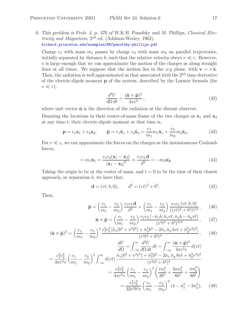6. *This problem is Prob. 4, p. 376 of* W.K.H. Panofsky and M. Phillips, *Classical Electricity and Magnetism*, 2nd ed. (Addison-Wesley, 1962), kirkmcd.princeton.edu/examples/EM/panofsky-phillips.pdf

Charge  $e_1$  with mass  $m_1$  passes by charge  $e_2$  with mass  $m_2$  on parallel trajectories, initially separated by distance b, such that the relative velocity obeys  $v \ll c$ . However,  $v$  is large enough that we can approximate the motion of the charges as along straight lines at all times. We suppose that the motion lies in the x-y plane, with  $\mathbf{v} = v \hat{\mathbf{x}}$ . Then, the radiation is well approximated as that associated with the  $2<sup>nd</sup>$  time derivative of the electric-dipole moment **p** of the system, described by the Larmor formula (for  $v \ll c$ ),

$$
\frac{d^2U}{d\Omega dt} = \frac{(\hat{\mathbf{n}} \times \ddot{\mathbf{p}})^2}{4\pi c^3},\tag{42}
$$

where unit vector  $\hat{\mathbf{n}}$  is the direction of the radiation at the distant observer.

Denoting the locations in their center-of-mass frame of the two charges as  $x_1$  and  $x_2$ at any time  $t$ , their electric-dipole moment at that time is,

$$
\mathbf{p} = e_1 \mathbf{x}_1 + e_2 \mathbf{x}_2, \qquad \ddot{\mathbf{p}} = e_1 \ddot{\mathbf{x}}_1 + e_2 \ddot{\mathbf{x}}_2 = \frac{e_1}{m_1} m_1 \ddot{\mathbf{x}}_1 + \frac{e_2}{m_2} m_2 \ddot{\mathbf{x}}_2,\tag{43}
$$

For  $v \ll c$ , we can approximate the forces on the charges as the instantaneous Coulomb forces,

$$
= m_1 \ddot{\mathbf{x}}_1 = \frac{e_1 e_2 (\mathbf{x}_1 - \mathbf{x}_2)}{|\mathbf{x}_1 - \mathbf{x}_2|^3} \equiv \frac{e_1 e_2 \mathbf{d}}{d^3} = -m_2 \ddot{\mathbf{x}}_2.
$$
 (44)

Taking the origin to be at the center of mass, and  $t = 0$  to be the time of their closest approach, at separation  $b$ , we have that,

$$
\mathbf{d} = (vt, b, 0), \qquad d^2 = (vt)^2 + b^2. \tag{45}
$$

Then,

$$
\ddot{\mathbf{p}} = \left(\frac{e_1}{m_1} - \frac{e_2}{m_2}\right) \frac{e_1 e_2 \mathbf{d}}{d^3} = \left(\frac{e_1}{m_1} - \frac{e_2}{m_2}\right) \frac{e_1 e_2 (vt, b, 0)}{((vt)^2 + b^2)^{3/2}},\qquad(46)
$$

$$
\hat{\mathbf{n}} \times \ddot{\mathbf{p}} = \left(\frac{e_1}{m_1} - \frac{e_2}{m_2}\right) \frac{e_1 e_2 \left(-\hat{n}_z b, \hat{n}_z vt, \hat{n}_x b - \hat{n}_y vt\right)}{(v^2 t^2 + b^2)^{3/2}},\qquad(47)
$$

$$
(\hat{\mathbf{n}} \times \ddot{\mathbf{p}})^2 = \left(\frac{e_1}{m_1} - \frac{e_2}{m_2}\right)^2 \frac{e_1^2 e_2^2 \left[\hat{n}_z (b^2 + v^2 t^2) + \hat{n}_x^2 b^2 - 2\hat{n}_x \,\hat{n}_y \, bvt + \hat{n}_y^2 v^2 t^2\right]}{(v^2 t^2 + b^2)^3},\qquad(48)
$$

$$
\frac{dU}{d\Omega} = \int_{-\infty}^{\infty} \frac{d^2U}{d\Omega dt} dt = \int_{-\infty}^{\infty} \frac{(\hat{\mathbf{n}} \times \ddot{\mathbf{p}})^2}{4\pi c^3 v} d(vt)
$$

$$
= \frac{e_1^2 e_2^2}{4\pi c^3 v} \left(\frac{e_1}{m_1} - \frac{e_2}{m_2}\right)^2 \int_{-\infty}^{\infty} d(vt) \frac{\hat{n}_z (b^2 + v^2 t^2) + \hat{n}_x^2 b^2 - 2\hat{n}_x \hat{n}_y bvt + \hat{n}_y^2 v^2 t^2}{(v^2 t^2 + b^2)^3}
$$

$$
= \frac{e_1^2 e_2^2}{4\pi c^3 v} \left(\frac{e_1}{m_1} - \frac{e_2}{m_2}\right)^2 \left(\frac{\pi n_z^2}{2b^3} + \frac{3\pi n_x^2}{8b^3} + \frac{\pi n_y^2}{8b^3}\right)
$$

$$
= \frac{e_1^2 e_2^2}{32c^3 b^3 v} \left(\frac{e_1}{m_1} - \frac{e_2}{m_2}\right)^2 (4 - n_x^2 - 3n_y^2), \quad (49)
$$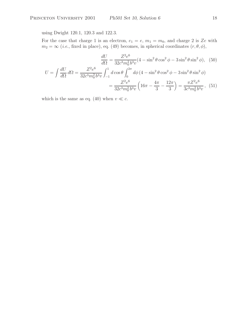using Dwight 120.1, 120.3 and 122.3.

 $\cal U$ 

For the case that charge 1 is an electron,  $e_1 = e$ ,  $m_1 = m_0$ , and charge 2 is Ze with  $m_2 = \infty$  (*i.e.*, fixed in place), eq. (49) becomes, in spherical coordinates  $(r, \theta, \phi)$ ,

$$
\frac{dU}{d\Omega} = \frac{Z^2 e^6}{32c^3 m_0^2 b^3 v} (4 - \sin^2 \theta \cos^2 \phi - 3 \sin^2 \theta \sin^2 \phi),
$$
 (50)  

$$
= \int \frac{dU}{d\Omega} d\Omega = \frac{Z^2 e^6}{32c^3 m_0^2 b^3 v} \int_{-1}^1 d\cos \theta \int_0^{2\pi} d\phi (4 - \sin^2 \theta \cos^2 \phi - 3 \sin^2 \theta \sin^2 \phi)
$$

$$
= \frac{Z^2 e^6}{32c^3 m_0^2 b^3 v} \left(16\pi - \frac{4\pi}{3} - \frac{12\pi}{3}\right) = \frac{\pi Z^2 e^6}{3c^3 m_0^2 b^3 v},
$$
 (51)

which is the same as eq. (40) when  $v \ll c$ .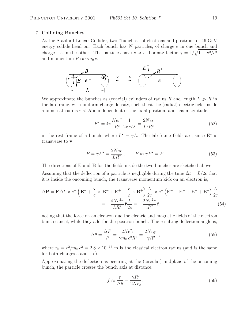#### 7. **Colliding Bunches**

At the Stanford Linear Collider, two "bunches" of electrons and positrons of 46-GeV energy collide head on. Each bunch has  $N$  particles, of charge  $e$  in one bunch and charge  $-e$  in the other. The particles have  $v \approx c$ , Lorentz factor  $\gamma = 1/\sqrt{1 - v^2/c^2}$ and momentum  $P \approx \gamma m_0 c$ .



We approximate the bunches as (coaxial) cylinders of radius R and length  $L \gg R$  in the lab frame, with uniform charge density, such theat the (radial) electric field inside a bunch at radius  $r < R$  is independent of the axial position, and has magnitude,

$$
E^* = 4\pi \frac{Ner^2}{R^2} \frac{1}{2\pi r L^*} = \frac{2Ner}{L^* R^2},
$$
\n(52)

in the rest frame of a bunch, where  $L^* = \gamma L$ . The lab-frame fields are, since  $\mathbf{E}^*$  is transverse to **v**,

$$
E = \gamma E^* = \frac{2Ner}{LR^2}, \qquad B \approx \gamma E^* = E. \tag{53}
$$

The directions of **E** and **B** for the fields inside the two bunches are sketched above.

Assuming that the deflection of a particle is negligible during the time  $\Delta t = L/2c$  that it is inside the oncoming bunch, the transverse momentum kick on an electron is,

$$
\Delta \mathbf{P} = \mathbf{F} \, \Delta t \approx e^{-} \left( \mathbf{E}^{-} + \frac{\mathbf{v}}{c} \times \mathbf{B}^{-} + \mathbf{E}^{+} + \frac{\mathbf{v}}{c} \times \mathbf{B}^{+} \right) \frac{L}{2c} \approx e^{-} \left( \mathbf{E}^{-} - \mathbf{E}^{-} + \mathbf{E}^{+} + \mathbf{E}^{+} \right) \frac{L}{2c}
$$

$$
= -\frac{4Ne^{2}r}{LR^{2}} \hat{\mathbf{r}} \frac{L}{2c} = -\frac{2Ne^{2}r}{cR^{2}} \hat{\mathbf{r}}, \tag{54}
$$

noting that the force on an electron due the electric and magnetic fields of the electron bunch cancel, while they add for the positron bunch. The resulting deflection angle is,

$$
\Delta\theta = \frac{\Delta P}{P} = \frac{2Ne^2r}{\gamma m_0 c^2 R^2} = \frac{2Nr_0r}{\gamma R^2},
$$
\n(55)

where  $r_0 = e^2/m_0 c^2 = 2.8 \times 10^{-15}$  m is the classical electron radius (and is the same for both charges  $e$  and  $-e$ ).

Approximating the deflection as occuring at the (circular) midplane of the oncoming bunch, the particle crosses the bunch axis at distance,

$$
f \approx \frac{r}{\Delta \theta} = \frac{\gamma R^2}{2N r_0},\tag{56}
$$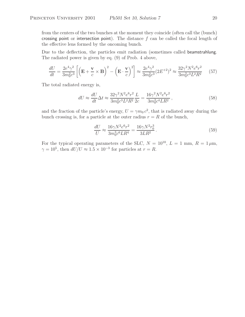from the centers of the two bunches at the moment they coincide (often call the (bunch) crossing point or intersection point). The distance  $f$  can be called the focal length of the effective lens formed by the oncoming bunch.

Due to the deflection, the particles emit radiation (sometimes called beamstrahlung. The radiated power is given by eq. (9) of Prob. 4 above,

$$
\frac{dU}{dt} = \frac{2e^4\gamma^2}{3m_0^2c^3} \left[ \left( \mathbf{E} + \frac{\mathbf{v}}{c} \times \mathbf{B} \right)^2 - \left( \mathbf{E} \cdot \frac{\mathbf{v}}{c} \right)^2 \right] \approx \frac{2e^4\gamma^2}{3m_0^2c^3} (2E^{+2})^2 \approx \frac{32\gamma^2N^2e^6r^2}{3m_0^2c^3L^2R^2}
$$
(57)

The total radiated energy is,

$$
dU \approx \frac{dU}{dt} \Delta t \approx \frac{32\gamma^2 N^2 e^6 r^2}{3m_0^2 c^3 L^2 R^2} \frac{L}{2c} = \frac{16\gamma^2 N^2 e^6 r^2}{3m_0^2 c^4 L R^2},
$$
\n(58)

and the fraction of the particle's energy,  $U = \gamma m_0 c^2$ , that is radiated away during the bunch crossing is, for a particle at the outer radius  $r = R$  of the bunch,

$$
\frac{dU}{U} \approx \frac{16\gamma N^2 e^6 r^2}{3m_0^3 c^6 L R^4} = \frac{16\gamma N^2 r_0^3}{3L R^2} \,. \tag{59}
$$

For the typical operating parameters of the SLC,  $N = 10^{10}$ ,  $L = 1$  mm,  $R = 1 \mu m$ ,  $\gamma = 10^5$ , then  $dU/U \approx 1.5 \times 10^{-3}$  for particles at  $r = R$ .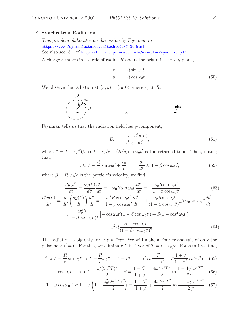# 8. **Synchrotron Radiation**

*This problem elaborates on discussion by Feynman in* https://www.feynmanlectures.caltech.edu/I\_34.html See also sec. 5.1 of http://kirkmcd.princeton.edu/examples/synchrad.pdf

A charge  $e$  moves in a circle of radius  $R$  about the origin in the  $x-y$  plane,

$$
x = R\sin\omega_0 t,
$$
  
\n
$$
y = R\cos\omega_0 t.
$$
\n(60)

We observe the radiation at  $(x, y)=(r_0, 0)$  where  $r_0 \gg R$ .



Feynman tells us that the radiation field has y-component,

$$
E_y = -\frac{e}{c^2 r_0} \frac{d^2 y(t')}{dt^2},\tag{61}
$$

where  $t' = t - r(t')/c \approx t - r_0/c + (R/c) \sin \omega_0 t'$  is the retarded time. Then, noting that,

$$
t \approx t' - \frac{R}{c}\sin\omega_0 t' + \frac{r_0}{c}, \qquad \frac{dt}{dt'} \approx 1 - \beta\cos\omega_0 t', \tag{62}
$$

where  $\beta = R \omega_0/c$  is the particle's velocity, we find,

$$
\frac{dy(t')}{dt} = \frac{dy(t')}{dt'} \frac{dt'}{dt} = -\omega_0 R \sin \omega_0 t' \frac{dt'}{dt} = -\frac{\omega_0 R \sin \omega_0 t'}{1 - \beta \cos \omega_0 t'},
$$
(63)  

$$
\frac{d^2y(t')}{dt^2} = \frac{d}{dt'} \left(\frac{dy(t')}{dt}\right) \frac{dt'}{dt} = -\frac{\omega_0^2 R \cos \omega_0 t'}{1 - \beta \cos \omega_0 t'} \frac{dt'}{dt} - +\frac{\omega_0 R \sin \omega_0 t'}{(1 - \beta \cos \omega_0 t')^2} \beta \omega_0 \sin \omega_0 t' \frac{dt'}{dt}
$$

$$
= \frac{\omega_0^2 R}{(1 - \beta \cos \omega_0 t')^3} \left[ -\cos \omega_0 t'(1 - \beta \cos \omega_0 t') + \beta (1 - \cos^2 \omega_0 t') \right]
$$

$$
= \omega_0^2 R \frac{\beta - \cos \omega_0 t'}{(1 - \beta \cos \omega_0 t')^3}.
$$
(64)

The radiation is big only for  $\omega_0 t' \approx 2n\pi$ . We will make a Fourier analysis of only the pulse near  $t'=0$ . For this, we eliminate  $t'$  in favor of  $T = t - r_0/c$ . For  $\beta \approx 1$  we find,

$$
t' \approx T + \frac{R}{c}\sin\omega_0 t' \approx T + \frac{R}{c}\omega_0 t' = T + \beta t', \qquad t' \approx \frac{T}{1-\beta} = T\frac{1+\beta}{1-\beta^2} \approx 2\gamma^2 T, \tag{65}
$$

$$
\cos\omega_0 t' - \beta \approx 1 - \frac{\omega_0^2 (2\gamma^2 T)^2}{2} - \beta = \frac{1 - \beta^2}{1 + \beta} - \frac{4\omega^2 \gamma^4 T^2}{2} \approx \frac{1 - 4\gamma^6 \omega_0^2 T^2}{2\gamma^2},
$$
 (66)

$$
1 - \beta \cos \omega_0 t' \approx 1 - \beta \left( 1 - \frac{\omega_0^2 (2\gamma^2 T)^2}{2} \right) = \frac{1 - \beta^2}{1 + \beta} + \frac{4\omega^2 \gamma^4 T^2}{2} \approx \frac{1 + 4\gamma^6 \omega_0^2 T^2}{2\gamma^2},
$$
 (67)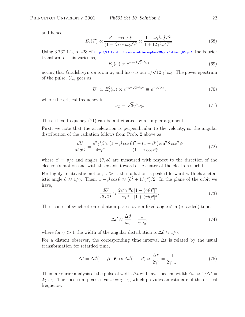and hence,

$$
E_y(T) \propto \frac{\beta - \cos \omega_0 t'}{(1 - \beta \cos \omega_0 t')^3} \propto \frac{1 - 4\gamma^6 \omega_0^2 T^2}{1 + 12\gamma^6 \omega_0^2 T^2}.
$$
\n(68)

Using 3.767.1-2, p. 423 of http://kirkmcd.princeton.edu/examples/EM/gradshteyn\_80.pdf, the Fourier transform of this varies as,

$$
E_y(\omega) \propto e^{-\omega/2\sqrt{3}\gamma^3\omega_0},\tag{69}
$$

noting that Gradshteyn's a is our  $\omega$ , and his  $\gamma$  is our  $1/\sqrt{12} \gamma^3 \omega_0$ . The power spectrum of the pulse,  $U_{\omega}$ , goes as,

$$
U_{\omega} \propto E_y^2(\omega) \propto e^{-\omega/\sqrt{3}\gamma^3 \omega_0} \equiv e^{-\omega/\omega_C},\tag{70}
$$

where the critical frequency is,

$$
\omega_C = \sqrt{3}\gamma^3 \omega_0. \tag{71}
$$

The critical frequency (71) can be anticipated by a simpler argument.

First, we note that the acceleration is perpendicular to the velocity, so the angular distribution of the radiation follows from Prob. 2 above as

$$
\frac{dU}{dt\,d\Omega} = \frac{e^2\gamma^4\beta^2c}{4\pi\rho^2}\frac{(1-\beta\cos\theta)^2 - (1-\beta^2)\sin^2\theta\cos^2\phi}{(1-\beta\cos\theta)^5},\tag{72}
$$

where  $\beta = v/c$  and angles  $(\theta, \phi)$  are measured with respect to the direction of the electron's motion and with the x-axis towards the center of the electron's orbit.

For highly relativistic motion,  $\gamma \gg 1$ , the radiation is peaked forward with characteristic angle  $\theta \approx 1/\gamma$ . Then,  $1 - \beta \cos \theta \approx (\theta^2 + 1/\gamma^2)/2$ . In the plane of the orbit we have,

$$
\frac{dU}{dt\,d\Omega} \approx \frac{2e^2\gamma^{10}c}{\pi\rho^2} \frac{[1 - (\gamma\theta)^2]^2}{[1 + (\gamma\theta)^2]^5}.\tag{73}
$$

The "cone" of synchrotron radiation passes over a fixed angle  $\theta$  in (retarded) time,

$$
\Delta t' \approx \frac{\Delta \theta}{\omega_0} = \frac{1}{\gamma \omega_0},\tag{74}
$$

where for  $\gamma \gg 1$  the width of the angular distribution is  $\Delta \theta \approx 1/\gamma$ .

For a distant observer, the corresponding time interval  $\Delta t$  is related by the usual transformation for retarded time,

$$
\Delta t = \Delta t' (1 - \beta \cdot \hat{\mathbf{r}}) \approx \Delta t' (1 - \beta) \approx \frac{\Delta t'}{2\gamma^2} = \frac{1}{2\gamma^3 \omega_0}.
$$
 (75)

Then, a Fourier analysis of the pulse of width  $\Delta t$  will have spectral width  $\Delta \omega \approx 1/\Delta t =$  $2\gamma^3\omega_0$ . The spectrum peaks near  $\omega = \gamma^3\omega_0$ , which provides an estimate of the critical frequency.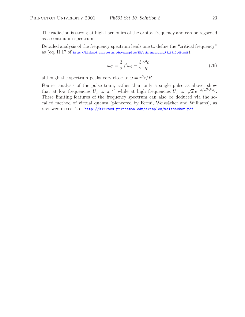The radiation is strong at high harmonics of the orbital frequency and can be regarded as a continuum spectrum.

Detailed analysis of the frequency spectrum leads one to define the "critical frequency" as  $(eq. II.17 of <http://kirkmcd.princeton.edu/examples/EM/schwinger_pr_75_1912_49.pdf>),$ 

$$
\omega_C \equiv \frac{3}{2} \gamma^3 \omega_0 = \frac{3}{2} \frac{\gamma^3 c}{R},\qquad(76)
$$

although the spectrum peaks very close to  $\omega = \gamma^3 c/R$ .

Fourier analysis of the pulse train, rather than only a single pulse as above, show that at low frequencies  $U_{\omega} \propto \omega^{1/3}$  while at high frequencies  $U_{\omega} \propto \sqrt{\omega} e^{-\omega/\sqrt{3}\gamma^3\omega_0}$ . These limiting features of the frequency spectrum can also be deduced via the socalled method of virtual quanta (pioneered by Fermi, Weizsäcker and Williams), as reviewed in sec. 2 of http://kirkmcd.princeton.edu/examples/weizsacker.pdf.